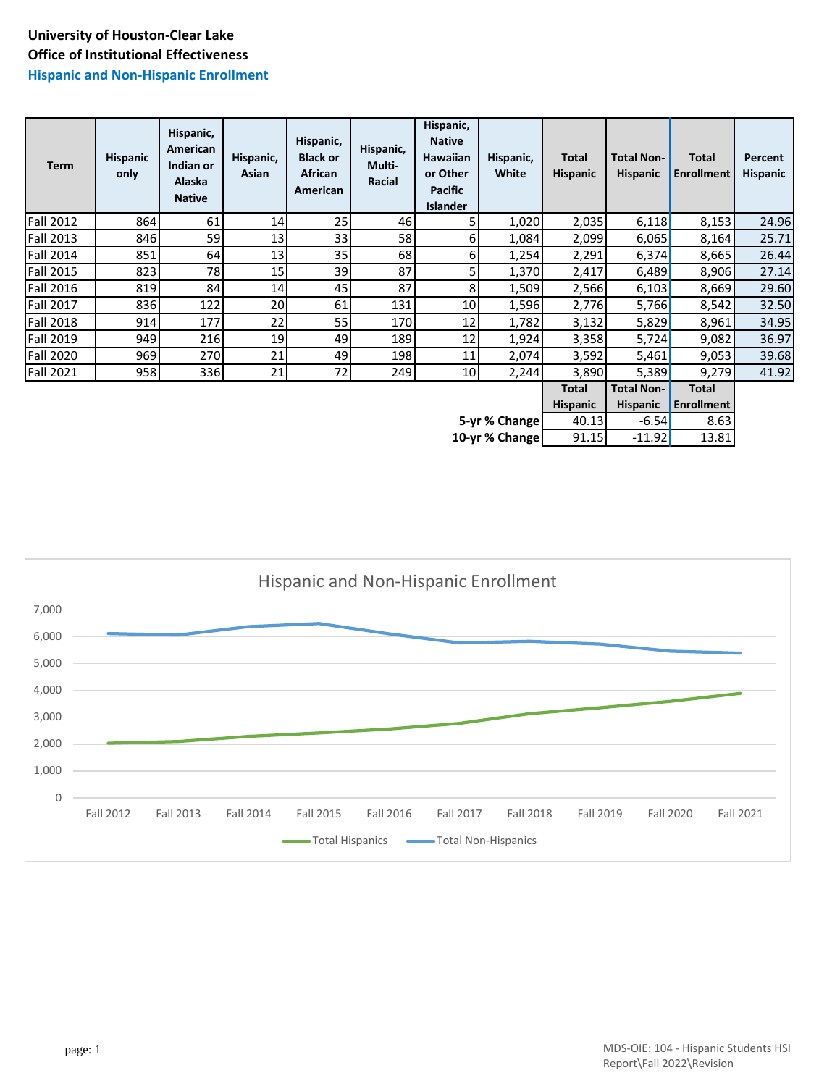#### **Hispanic and Non-Hispanic Enrollment**

| Term             | <b>Hispanic</b><br>only | Hispanic,<br>American<br>Indian or<br>Alaska<br><b>Native</b> | Hispanic,<br>Asian | Hispanic,<br><b>Black or</b><br>African<br>American | Hispanic,<br>Multi-<br>Racial | Hispanic,<br><b>Native</b><br>Hawaiian<br>or Other<br><b>Pacific</b><br>Islander | Hispanic,<br>White | <b>Total</b><br><b>Hispanic</b> | <b>Total Non-</b><br><b>Hispanic</b> | <b>Total</b><br>Enrollment | Percent<br><b>Hispanic</b> |
|------------------|-------------------------|---------------------------------------------------------------|--------------------|-----------------------------------------------------|-------------------------------|----------------------------------------------------------------------------------|--------------------|---------------------------------|--------------------------------------|----------------------------|----------------------------|
| <b>Fall 2012</b> | 864                     | 61                                                            | 14                 | 25                                                  | 46                            | 5                                                                                | 1,020              | 2,035                           | 6,118                                | 8,153                      | 24.96                      |
| Fall 2013        | 846                     | 59                                                            | 13                 | 33                                                  | 58                            | 61                                                                               | 1,084              | 2,099                           | 6,065                                | 8,164                      | 25.71                      |
| Fall 2014        | 851                     | 64                                                            | 13                 | 35                                                  | 68                            | 6                                                                                | 1,254              | 2,291                           | 6,374                                | 8,665                      | 26.44                      |
| <b>Fall 2015</b> | 823                     | 78                                                            | 15                 | 39                                                  | 87                            | 5                                                                                | 1,370              | 2,417                           | 6,489                                | 8,906                      | 27.14                      |
| Fall 2016        | 819                     | 84                                                            | 14                 | 45                                                  | 87                            | 8                                                                                | 1,509              | 2,566                           | 6,103                                | 8,669                      | 29.60                      |
| <b>Fall 2017</b> | 836                     | 122                                                           | 20                 | 61                                                  | 131                           | 10 <sup>1</sup>                                                                  | 1,596              | 2,776                           | 5,766                                | 8,542                      | 32.50                      |
| <b>Fall 2018</b> | 914                     | 177                                                           | 22                 | 55                                                  | 170                           | 12                                                                               | 1,782              | 3,132                           | 5,829                                | 8,961                      | 34.95                      |
| <b>Fall 2019</b> | 949                     | 216                                                           | 19                 | 49                                                  | 189                           | 12                                                                               | 1,924              | 3,358                           | 5,724                                | 9,082                      | 36.97                      |
| <b>Fall 2020</b> | 969                     | 270                                                           | 21                 | 49                                                  | 198                           | 11                                                                               | 2,074              | 3,592                           | 5,461                                | 9,053                      | 39.68                      |
| <b>Fall 2021</b> | 958                     | 336                                                           | 21                 | 72                                                  | 249                           | 10                                                                               | 2,244              | 3,890                           | 5,389                                | 9,279                      | 41.92                      |
|                  |                         |                                                               |                    |                                                     |                               |                                                                                  |                    | <b>Total</b>                    | <b>Total Non-</b>                    | <b>Total</b>               |                            |
|                  |                         |                                                               |                    |                                                     |                               |                                                                                  |                    | <b>Hispanic</b>                 | <b>Hispanic</b>                      | <b>Enrollment</b>          |                            |
|                  |                         |                                                               |                    |                                                     |                               |                                                                                  | 5-yr % Change      | 40.13                           | $-6.54$                              | 8.63                       |                            |
|                  | 10-yr % Change          |                                                               |                    |                                                     |                               |                                                                                  |                    |                                 |                                      | 13.81                      |                            |

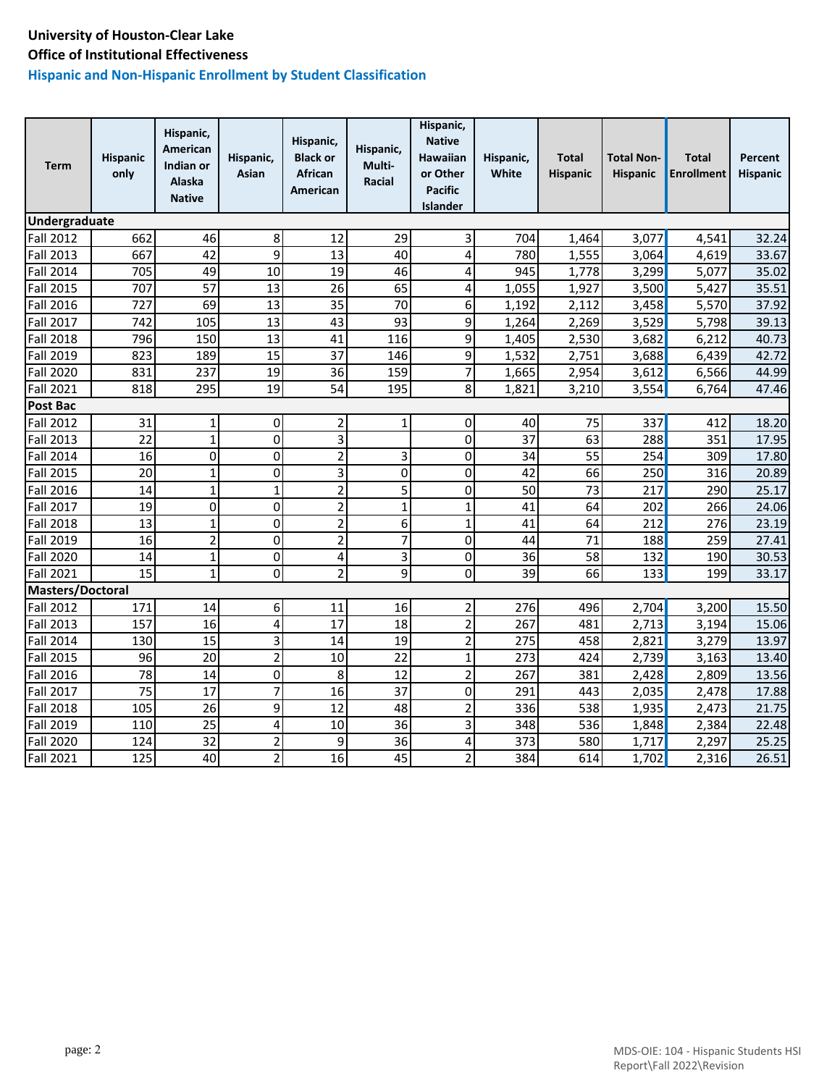## **Hispanic and Non-Hispanic Enrollment by Student Classification**

| Term                    | <b>Hispanic</b><br>only | Hispanic,<br>American<br>Indian or<br><b>Alaska</b><br><b>Native</b> | Hispanic,<br>Asian      | Hispanic,<br><b>Black or</b><br><b>African</b><br>American | Hispanic,<br>Multi-<br>Racial | Hispanic,<br><b>Native</b><br>Hawaiian<br>or Other<br><b>Pacific</b><br><b>Islander</b> | Hispanic,<br>White | <b>Total</b><br><b>Hispanic</b> | <b>Total Non-</b><br><b>Hispanic</b> | <b>Total</b><br><b>Enrollment</b> | Percent<br>Hispanic |
|-------------------------|-------------------------|----------------------------------------------------------------------|-------------------------|------------------------------------------------------------|-------------------------------|-----------------------------------------------------------------------------------------|--------------------|---------------------------------|--------------------------------------|-----------------------------------|---------------------|
| Undergraduate           |                         |                                                                      |                         |                                                            |                               |                                                                                         |                    |                                 |                                      |                                   |                     |
| Fall 2012               | 662                     | 46                                                                   | 8                       | 12                                                         | 29                            | 3                                                                                       | 704                | 1,464                           | 3,077                                | 4,541                             | 32.24               |
| Fall 2013               | 667                     | 42                                                                   | 9                       | 13                                                         | 40                            | $\overline{\mathbf{4}}$                                                                 | 780                | 1,555                           | 3,064                                | 4,619                             | 33.67               |
| Fall 2014               | 705                     | 49                                                                   | 10                      | 19                                                         | 46                            | $\overline{4}$                                                                          | 945                | 1,778                           | 3,299                                | 5,077                             | 35.02               |
| Fall 2015               | 707                     | 57                                                                   | 13                      | 26                                                         | 65                            | $\overline{4}$                                                                          | 1,055              | 1,927                           | 3,500                                | 5,427                             | 35.51               |
| <b>Fall 2016</b>        | 727                     | 69                                                                   | 13                      | 35                                                         | 70                            | $6 \overline{6}$                                                                        | 1,192              | 2,112                           | 3,458                                | 5,570                             | 37.92               |
| <b>Fall 2017</b>        | 742                     | 105                                                                  | 13                      | 43                                                         | 93                            | 9                                                                                       | 1,264              | 2,269                           | 3,529                                | 5,798                             | 39.13               |
| <b>Fall 2018</b>        | 796                     | 150                                                                  | 13                      | 41                                                         | 116                           | 9                                                                                       | 1,405              | 2,530                           | 3,682                                | 6,212                             | 40.73               |
| <b>Fall 2019</b>        | 823                     | 189                                                                  | 15                      | 37                                                         | 146                           | 9                                                                                       | 1,532              | 2,751                           | 3,688                                | 6,439                             | 42.72               |
| <b>Fall 2020</b>        | 831                     | 237                                                                  | 19                      | 36                                                         | 159                           | $\overline{7}$                                                                          | 1,665              | 2,954                           | 3,612                                | 6,566                             | 44.99               |
| <b>Fall 2021</b>        | 818                     | 295                                                                  | 19                      | 54                                                         | 195                           | 8                                                                                       | 1,821              | 3,210                           | 3,554                                | 6,764                             | 47.46               |
| Post Bac                |                         |                                                                      |                         |                                                            |                               |                                                                                         |                    |                                 |                                      |                                   |                     |
| <b>Fall 2012</b>        | 31                      | 1                                                                    | 0                       | 2                                                          | 1                             | $\overline{0}$                                                                          | 40                 | 75                              | 337                                  | 412                               | 18.20               |
| <b>Fall 2013</b>        | 22                      | $\mathbf{1}$                                                         | 0                       | 3                                                          |                               | 0                                                                                       | 37                 | 63                              | 288                                  | 351                               | 17.95               |
| <b>Fall 2014</b>        | 16                      | 0                                                                    | 0                       | $\overline{2}$                                             | 3                             | 0                                                                                       | 34                 | $\overline{55}$                 | 254                                  | 309                               | 17.80               |
| <b>Fall 2015</b>        | 20                      | $\mathbf{1}$                                                         | $\overline{0}$          | 3                                                          | 0                             | $\mathbf 0$                                                                             | 42                 | 66                              | 250                                  | 316                               | 20.89               |
| <b>Fall 2016</b>        | 14                      | $\mathbf 1$                                                          | $\mathbf{1}$            | $\overline{2}$                                             | 5                             | $\mathbf 0$                                                                             | 50                 | 73                              | 217                                  | 290                               | 25.17               |
| Fall 2017               | 19                      | 0                                                                    | 0                       | $\overline{2}$                                             | 1                             | $\mathbf{1}$                                                                            | 41                 | 64                              | 202                                  | 266                               | 24.06               |
| <b>Fall 2018</b>        | 13                      | $\mathbf{1}$                                                         | 0                       | $\overline{2}$                                             | 6                             | $\mathbf{1}$                                                                            | 41                 | 64                              | 212                                  | 276                               | 23.19               |
| Fall 2019               | 16                      | $\overline{c}$                                                       | $\overline{0}$          | $\overline{2}$                                             | $\overline{7}$                | $\mathbf 0$                                                                             | 44                 | $\overline{71}$                 | 188                                  | 259                               | 27.41               |
| <b>Fall 2020</b>        | 14                      | $\mathbf{1}$                                                         | 0                       | 4                                                          | $\overline{\mathbf{3}}$       | $\mathbf 0$                                                                             | 36                 | 58                              | 132                                  | 190                               | 30.53               |
| <b>Fall 2021</b>        | 15                      | $\mathbf{1}$                                                         | $\overline{0}$          | $\overline{2}$                                             | 9                             | $\Omega$                                                                                | 39                 | 66                              | 133                                  | 199                               | 33.17               |
| <b>Masters/Doctoral</b> |                         |                                                                      |                         |                                                            |                               |                                                                                         |                    |                                 |                                      |                                   |                     |
| <b>Fall 2012</b>        | 171                     | 14                                                                   | 6                       | 11                                                         | 16                            | $\overline{2}$                                                                          | 276                | 496                             | 2,704                                | 3,200                             | 15.50               |
| <b>Fall 2013</b>        | 157                     | 16                                                                   | 4                       | 17                                                         | 18                            | $\overline{2}$                                                                          | 267                | 481                             | 2,713                                | 3,194                             | 15.06               |
| <b>Fall 2014</b>        | 130                     | 15                                                                   | 3                       | 14                                                         | 19                            | $\overline{2}$                                                                          | 275                | 458                             | 2,821                                | 3,279                             | 13.97               |
| <b>Fall 2015</b>        | 96                      | 20                                                                   | $\overline{c}$          | 10                                                         | 22                            | $\mathbf{1}$                                                                            | 273                | 424                             | 2,739                                | 3,163                             | 13.40               |
| <b>Fall 2016</b>        | 78                      | 14                                                                   | 0                       | 8                                                          | 12                            | $\overline{2}$                                                                          | 267                | 381                             | 2,428                                | 2,809                             | 13.56               |
| Fall 2017               | $\overline{75}$         | 17                                                                   | $\overline{7}$          | 16                                                         | 37                            | 0                                                                                       | 291                | 443                             | 2,035                                | 2,478                             | 17.88               |
| <b>Fall 2018</b>        | 105                     | 26                                                                   | 9                       | $\overline{12}$                                            | 48                            | $\overline{2}$                                                                          | 336                | 538                             | 1,935                                | 2,473                             | 21.75               |
| Fall 2019               | 110                     | 25                                                                   | 4                       | 10                                                         | 36                            | $\overline{3}$                                                                          | 348                | 536                             | 1,848                                | 2,384                             | 22.48               |
| <b>Fall 2020</b>        | 124                     | 32                                                                   | $\overline{\mathbf{c}}$ | 9                                                          | 36                            | $\overline{\mathbf{r}}$                                                                 | 373                | 580                             | 1,717                                | 2,297                             | 25.25               |
| <b>Fall 2021</b>        | 125                     | 40                                                                   | $\overline{2}$          | 16                                                         | 45                            | $\overline{2}$                                                                          | 384                | 614                             | 1,702                                | 2,316                             | 26.51               |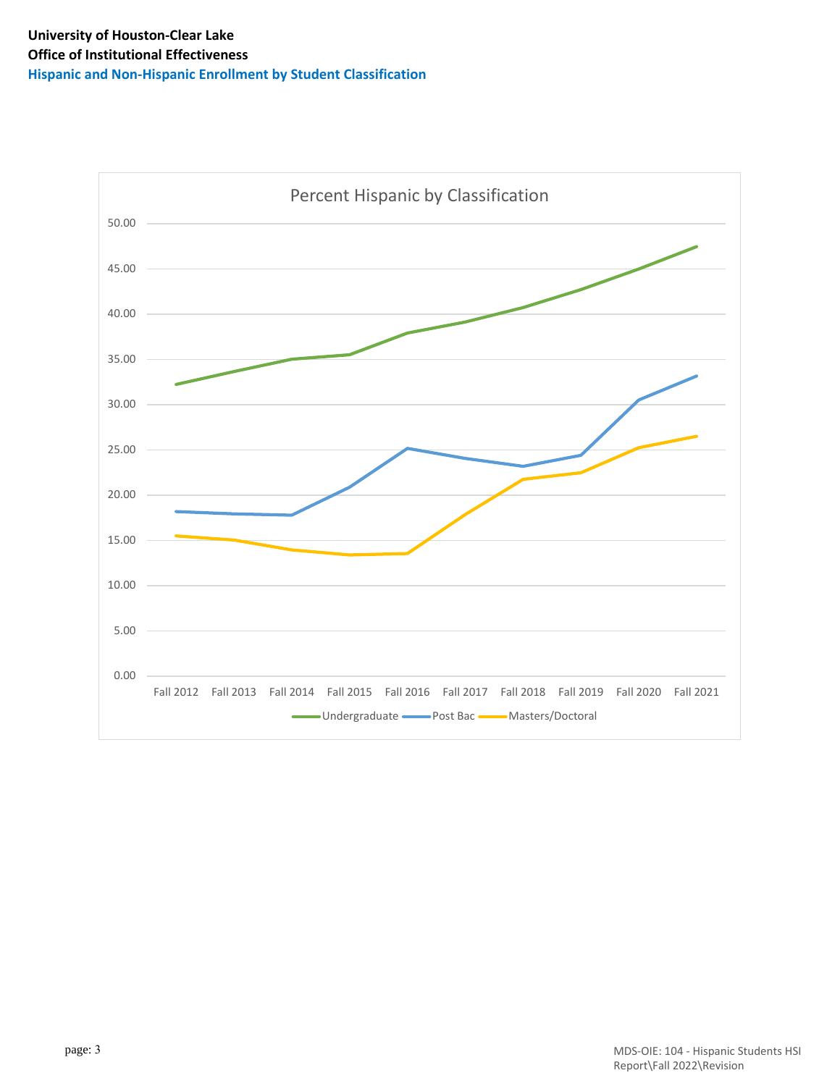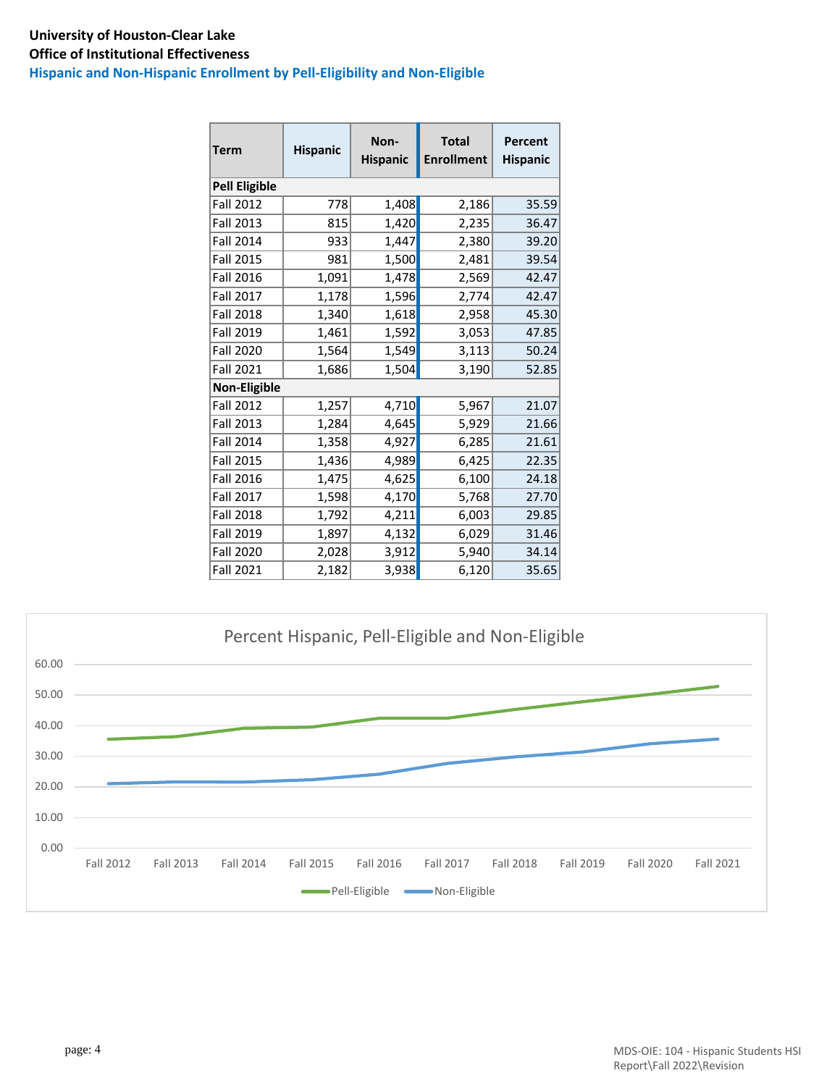### **University of Houston-Clear Lake Office of Institutional Effectiveness Hispanic and Non-Hispanic Enrollment by Pell-Eligibility and Non-Eligible**

| <b>Term</b>          | <b>Hispanic</b> |       | <b>Total</b><br><b>Enrollment</b> | <b>Percent</b><br><b>Hispanic</b> |  |
|----------------------|-----------------|-------|-----------------------------------|-----------------------------------|--|
| <b>Pell Eligible</b> |                 |       |                                   |                                   |  |
| <b>Fall 2012</b>     | 778             | 1,408 | 2,186                             | 35.59                             |  |
| <b>Fall 2013</b>     | 815             | 1,420 | 2,235                             | 36.47                             |  |
| <b>Fall 2014</b>     | 933             | 1,447 | 2,380                             | 39.20                             |  |
| Fall 2015            | 981             | 1,500 | 2,481                             | 39.54                             |  |
| <b>Fall 2016</b>     | 1,091           | 1,478 | 2,569                             | 42.47                             |  |
| Fall 2017            | 1,178           | 1,596 | 2,774                             | 42.47                             |  |
| <b>Fall 2018</b>     | 1,340           | 1,618 | 2,958                             | 45.30                             |  |
| Fall 2019            | 1,461           | 1,592 | 3,053                             | 47.85                             |  |
| <b>Fall 2020</b>     | 1,564           | 1,549 | 3,113                             | 50.24                             |  |
| Fall 2021            | 1,686           | 1,504 | 3,190                             | 52.85                             |  |
| <b>Non-Eligible</b>  |                 |       |                                   |                                   |  |
| <b>Fall 2012</b>     | 1,257           | 4,710 | 5,967                             | 21.07                             |  |
| <b>Fall 2013</b>     | 1,284           | 4,645 | 5,929                             | 21.66                             |  |
| Fall 2014            | 1,358           | 4,927 | 6,285                             | 21.61                             |  |
| <b>Fall 2015</b>     | 1,436           | 4,989 | 6,425                             | 22.35                             |  |
| <b>Fall 2016</b>     | 1,475           | 4,625 | 6,100                             | 24.18                             |  |
| <b>Fall 2017</b>     | 1,598           | 4,170 | 5,768                             | 27.70                             |  |
| <b>Fall 2018</b>     | 1,792           | 4,211 | 6,003                             | 29.85                             |  |
| <b>Fall 2019</b>     | 1,897           | 4,132 | 6,029                             | 31.46                             |  |
| Fall 2020            | 2,028           | 3,912 | 5,940                             | 34.14                             |  |
| <b>Fall 2021</b>     | 2,182           | 3,938 | 6,120                             | 35.65                             |  |



page: 4 MDS-OIE: 104 - Hispanic Students HSI Report\Fall 2022\Revision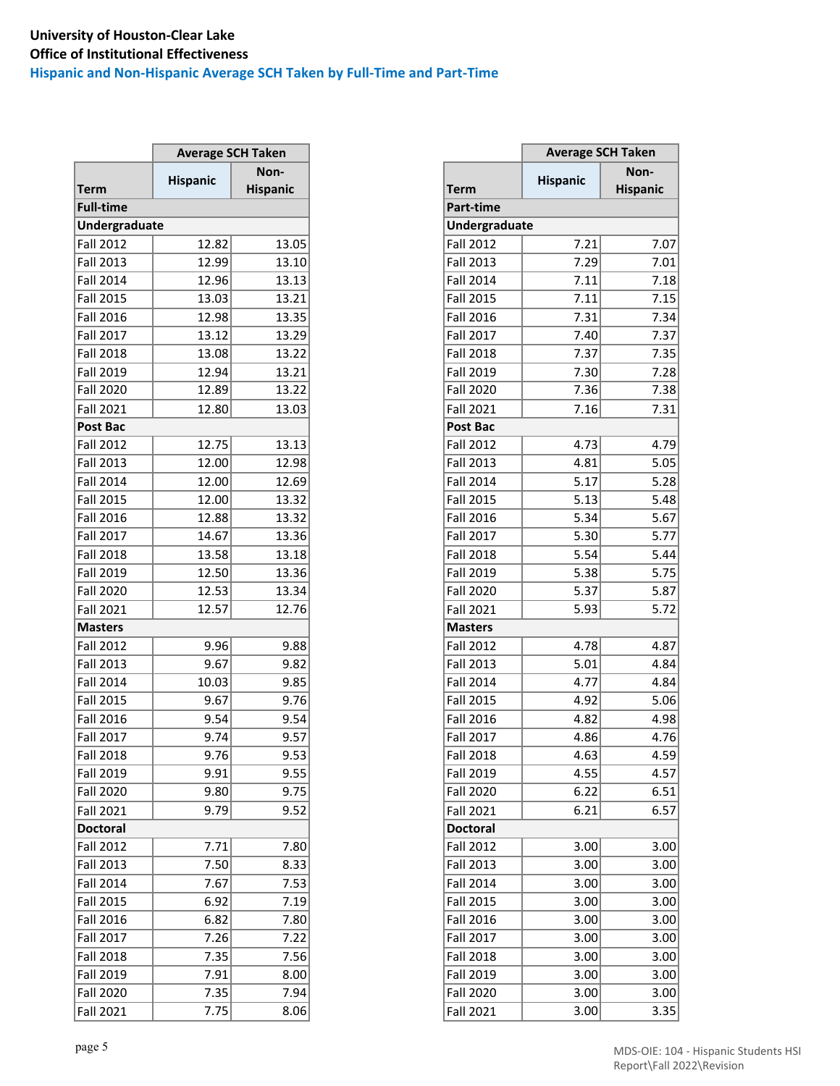## **University of Houston-Clear Lake Office of Institutional Effectiveness Hispanic and Non-Hispanic Average SCH Taken by Full-Time and Part-Time**

|                  | <b>Average SCH Taken</b> |                 |
|------------------|--------------------------|-----------------|
|                  |                          | Non-            |
| Term             | <b>Hispanic</b>          | <b>Hispanic</b> |
| <b>Full-time</b> |                          |                 |
| Undergraduate    |                          |                 |
| <b>Fall 2012</b> | 12.82                    | 13.05           |
| <b>Fall 2013</b> | 12.99                    | 13.10           |
| <b>Fall 2014</b> | 12.96                    | 13.13           |
| Fall 2015        | 13.03                    | 13.21           |
| <b>Fall 2016</b> | 12.98                    | 13.35           |
|                  |                          |                 |
| <b>Fall 2017</b> | 13.12                    | 13.29           |
| <b>Fall 2018</b> | 13.08                    | 13.22           |
| Fall 2019        | 12.94                    | 13.21           |
| <b>Fall 2020</b> | 12.89                    | 13.22           |
| <b>Fall 2021</b> | 12.80                    | 13.03           |
| Post Bac         |                          |                 |
| <b>Fall 2012</b> | 12.75                    | 13.13           |
| <b>Fall 2013</b> | 12.00                    | 12.98           |
| Fall 2014        | 12.00                    | 12.69           |
| <b>Fall 2015</b> | 12.00                    | 13.32           |
| <b>Fall 2016</b> | 12.88                    | 13.32           |
| Fall 2017        | 14.67                    | 13.36           |
| <b>Fall 2018</b> | 13.58                    | 13.18           |
|                  |                          |                 |
| <b>Fall 2019</b> | 12.50                    | 13.36           |
| <b>Fall 2020</b> | 12.53                    | 13.34           |
| <b>Fall 2021</b> | 12.57                    | 12.76           |
| <b>Masters</b>   |                          |                 |
| <b>Fall 2012</b> | 9.96                     | 9.88            |
| <b>Fall 2013</b> | 9.67                     | 9.82            |
| <b>Fall 2014</b> | 10.03                    | 9.85            |
| Fall 2015        | 9.67                     | 9.76            |
| <b>Fall 2016</b> | 9.54                     | 9.54            |
| <b>Fall 2017</b> | 9.74                     | 9.57            |
| <b>Fall 2018</b> | 9.76                     | 9.53            |
| Fall 2019        | 9.91                     | 9.55            |
| <b>Fall 2020</b> | 9.80                     | 9.75            |
|                  |                          |                 |
| <b>Fall 2021</b> | 9.79                     | 9.52            |
| <b>Doctoral</b>  |                          |                 |
| Fall 2012        | 7.71                     | 7.80            |
| Fall 2013        | 7.50                     | 8.33            |
| <b>Fall 2014</b> | 7.67                     | 7.53            |
| <b>Fall 2015</b> | 6.92                     | 7.19            |
| <b>Fall 2016</b> | 6.82                     | 7.80            |
| Fall 2017        | 7.26                     | 7.22            |
| <b>Fall 2018</b> | 7.35                     | 7.56            |
| Fall 2019        | 7.91                     | 8.00            |
| Fall 2020        | 7.35                     | 7.94            |
| <b>Fall 2021</b> | 7.75                     | 8.06            |
|                  |                          |                 |

|                      | <b>Average SCH Taken</b> |                 |
|----------------------|--------------------------|-----------------|
|                      | <b>Hispanic</b>          | Non-            |
| <b>Term</b>          |                          | <b>Hispanic</b> |
| <b>Full-time</b>     |                          |                 |
| <b>Undergraduate</b> |                          |                 |
| Fall 2012            | 12.82                    | 13.05           |
| Fall 2013            | 12.99                    | 13.10           |
| Fall 2014            | 12.96                    | 13.13           |
| Fall 2015            | 13.03                    | 13.21           |
| Fall 2016            | 12.98                    | 13.35           |
| Fall 2017            | 13.12                    | 13.29           |
| Fall 2018            | 13.08                    | 13.22           |
| Fall 2019            | 12.94                    | 13.21           |
| Fall 2020            | 12.89                    | 13.22           |
| Fall 2021            | 12.80                    | 13.03           |
| Post Bac             |                          |                 |
| Fall 2012            | 12.75                    | 13.13           |
| Fall 2013            | 12.00                    | 12.98           |
| <b>Fall 2014</b>     | 12.00                    | 12.69           |
| Fall 2015            | 12.00                    | 13.32           |
| Fall 2016            | 12.88                    | 13.32           |
| Fall 2017            | 14.67                    | 13.36           |
| Fall 2018            | 13.58                    | 13.18           |
| Fall 2019            | 12.50                    | 13.36           |
| Fall 2020            | 12.53                    | 13.34           |
| Fall 2021            | 12.57                    | 12.76           |
| <b>Masters</b>       |                          |                 |
| Fall 2012            | 9.96                     | 9.88            |
| Fall 2013            | 9.67                     | 9.82            |
| Fall 2014            | 10.03                    | 9.85            |
| Fall 2015            | 9.67                     | 9.76            |
| Fall 2016            | 9.54                     | 9.54            |
| Fall 2017            | 9.74                     | 9.57            |
| Fall 2018            | 9.76                     | 9.53            |
|                      |                          |                 |
| Fall 2019            | 9.91                     | 9.55            |
| <b>Fall 2020</b>     | 9.80                     | 9.75            |
| Fall 2021            | 9.79                     | 9.52            |
| <b>Doctoral</b>      |                          |                 |
| Fall 2012            | 7.71                     | 7.80            |
| Fall 2013            | 7.50                     | 8.33            |
| Fall 2014            | 7.67                     | 7.53            |
| Fall 2015            | 6.92                     | 7.19            |
| Fall 2016            | 6.82                     | 7.80            |
| Fall 2017            | 7.26                     | 7.22            |
| <b>Fall 2018</b>     | 7.35                     | 7.56            |
| Fall 2019            | 7.91                     | 8.00            |
| Fall 2020            | 7.35                     | 7.94            |
| Fall 2021            | 7.75                     | 8.06            |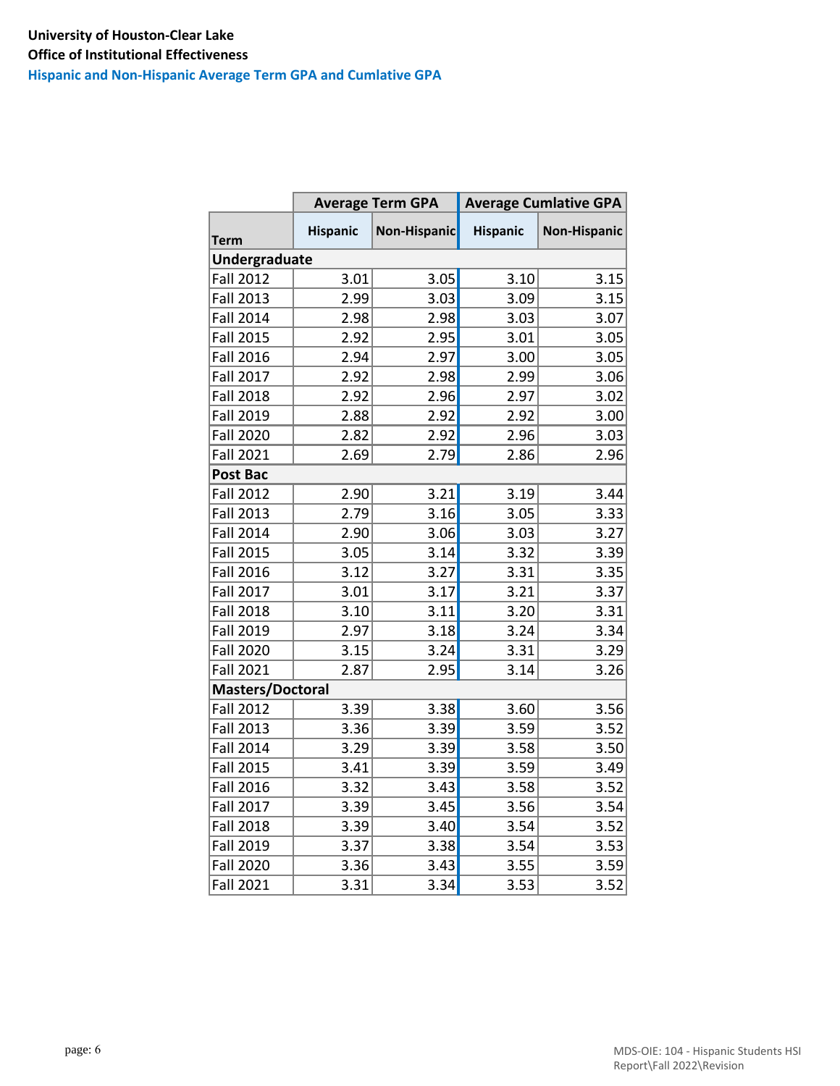**Hispanic and Non-Hispanic Average Term GPA and Cumlative GPA**

|                  |                 | <b>Average Term GPA</b><br><b>Average Cumlative GPA</b> |                 |                     |  |
|------------------|-----------------|---------------------------------------------------------|-----------------|---------------------|--|
| <b>Term</b>      | <b>Hispanic</b> | Non-Hispanic                                            | <b>Hispanic</b> | <b>Non-Hispanic</b> |  |
| Undergraduate    |                 |                                                         |                 |                     |  |
| <b>Fall 2012</b> | 3.01            | 3.05                                                    | 3.10            | 3.15                |  |
| Fall 2013        | 2.99            | 3.03                                                    | 3.09            | 3.15                |  |
| <b>Fall 2014</b> | 2.98            | 2.98                                                    | 3.03            | 3.07                |  |
| <b>Fall 2015</b> | 2.92            | 2.95                                                    | 3.01            | 3.05                |  |
| <b>Fall 2016</b> | 2.94            | 2.97                                                    | 3.00            | 3.05                |  |
| Fall 2017        | 2.92            | 2.98                                                    | 2.99            | 3.06                |  |
| <b>Fall 2018</b> | 2.92            | 2.96                                                    | 2.97            | 3.02                |  |
| Fall 2019        | 2.88            | 2.92                                                    | 2.92            | 3.00                |  |
| <b>Fall 2020</b> | 2.82            | 2.92                                                    | 2.96            | 3.03                |  |
| <b>Fall 2021</b> | 2.69            | 2.79                                                    | 2.86            | 2.96                |  |
| Post Bac         |                 |                                                         |                 |                     |  |
| <b>Fall 2012</b> | 2.90            | 3.21                                                    | 3.19            | 3.44                |  |
| <b>Fall 2013</b> | 2.79            | 3.16                                                    | 3.05            | 3.33                |  |
| <b>Fall 2014</b> | 2.90            | 3.06                                                    | 3.03            | 3.27                |  |
| <b>Fall 2015</b> | 3.05            | 3.14                                                    | 3.32            | 3.39                |  |
| <b>Fall 2016</b> | 3.12            | 3.27                                                    | 3.31            | 3.35                |  |
| <b>Fall 2017</b> | 3.01            | 3.17                                                    | 3.21            | 3.37                |  |
| <b>Fall 2018</b> | 3.10            | 3.11                                                    | 3.20            | 3.31                |  |
| Fall 2019        | 2.97            | 3.18                                                    | 3.24            | 3.34                |  |
| <b>Fall 2020</b> | 3.15            | 3.24                                                    | 3.31            | 3.29                |  |
| <b>Fall 2021</b> | 2.87            | 2.95                                                    | 3.14            | 3.26                |  |
| Masters/Doctoral |                 |                                                         |                 |                     |  |
| <b>Fall 2012</b> | 3.39            | 3.38                                                    | 3.60            | 3.56                |  |
| <b>Fall 2013</b> | 3.36            | 3.39                                                    | 3.59            | 3.52                |  |
| <b>Fall 2014</b> | 3.29            | 3.39                                                    | 3.58            | 3.50                |  |
| <b>Fall 2015</b> | 3.41            | 3.39                                                    | 3.59            | 3.49                |  |
| <b>Fall 2016</b> | 3.32            | 3.43                                                    | 3.58            | 3.52                |  |
| Fall 2017        | 3.39            | 3.45                                                    | 3.56            | 3.54                |  |
| <b>Fall 2018</b> | 3.39            | 3.40                                                    | 3.54            | 3.52                |  |
| Fall 2019        | 3.37            | 3.38                                                    | 3.54            | 3.53                |  |
| <b>Fall 2020</b> | 3.36            | 3.43                                                    | 3.55            | 3.59                |  |
| <b>Fall 2021</b> | 3.31            | 3.34                                                    | 3.53            | 3.52                |  |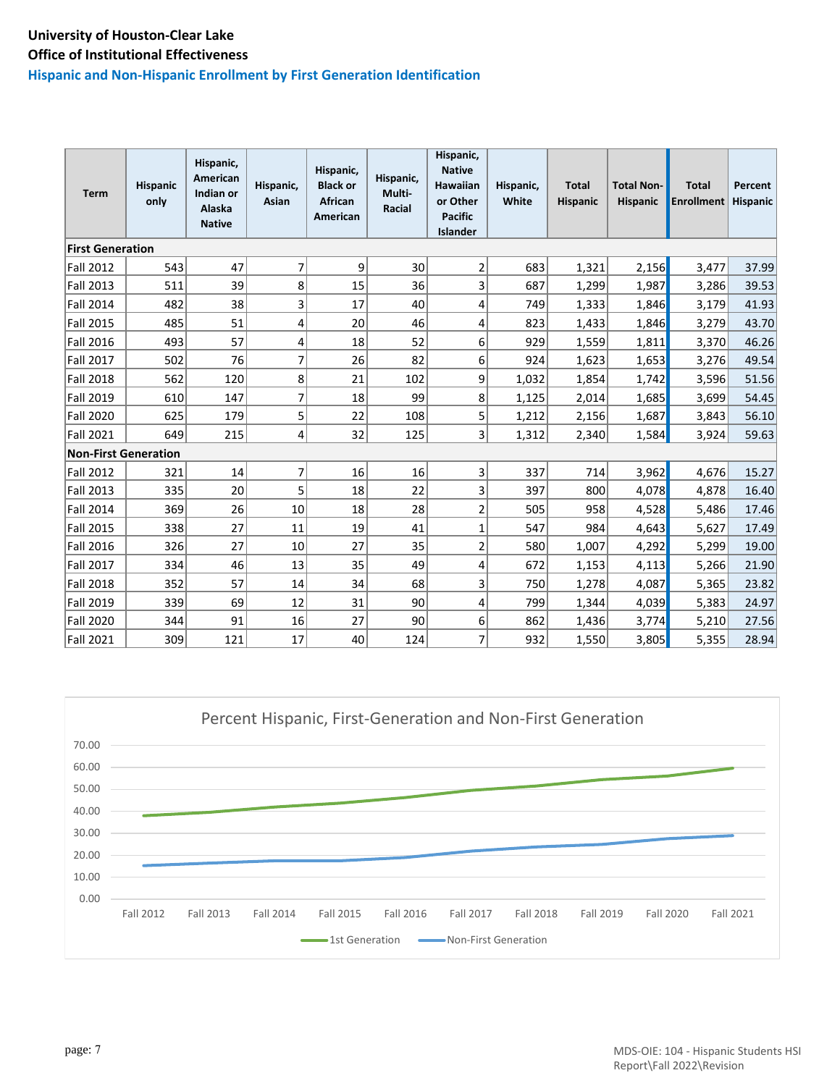#### **Hispanic and Non-Hispanic Enrollment by First Generation Identification**

| <b>Term</b>                 | <b>Hispanic</b><br>only | Hispanic,<br><b>American</b><br>Indian or<br>Alaska<br><b>Native</b> | Hispanic,<br>Asian | Hispanic,<br><b>Black or</b><br><b>African</b><br><b>American</b> | Hispanic,<br>Multi-<br><b>Racial</b> | Hispanic,<br><b>Native</b><br>Hawaiian<br>or Other<br><b>Pacific</b><br><b>Islander</b> | Hispanic,<br>White | <b>Total</b><br><b>Hispanic</b> | <b>Total Non-</b><br><b>Hispanic</b> | <b>Total</b><br><b>Enrollment</b> | Percent<br><b>Hispanic</b> |
|-----------------------------|-------------------------|----------------------------------------------------------------------|--------------------|-------------------------------------------------------------------|--------------------------------------|-----------------------------------------------------------------------------------------|--------------------|---------------------------------|--------------------------------------|-----------------------------------|----------------------------|
| <b>First Generation</b>     |                         |                                                                      |                    |                                                                   |                                      |                                                                                         |                    |                                 |                                      |                                   |                            |
| <b>Fall 2012</b>            | 543                     | 47                                                                   | 7                  | 9                                                                 | 30                                   | $\overline{2}$                                                                          | 683                | 1,321                           | 2,156                                | 3,477                             | 37.99                      |
| Fall 2013                   | 511                     | 39                                                                   | 8                  | 15                                                                | 36                                   | 3                                                                                       | 687                | 1,299                           | 1,987                                | 3,286                             | 39.53                      |
| <b>Fall 2014</b>            | 482                     | 38                                                                   | 3                  | 17                                                                | 40                                   | 4                                                                                       | 749                | 1,333                           | 1,846                                | 3,179                             | 41.93                      |
| <b>Fall 2015</b>            | 485                     | 51                                                                   | 4                  | 20                                                                | 46                                   | 4                                                                                       | 823                | 1,433                           | 1,846                                | 3,279                             | 43.70                      |
| <b>Fall 2016</b>            | 493                     | 57                                                                   | 4                  | 18                                                                | 52                                   | 6                                                                                       | 929                | 1,559                           | 1,811                                | 3,370                             | 46.26                      |
| <b>Fall 2017</b>            | 502                     | 76                                                                   | $\overline{7}$     | 26                                                                | 82                                   | $6 \mid$                                                                                | 924                | 1,623                           | 1,653                                | 3,276                             | 49.54                      |
| <b>Fall 2018</b>            | 562                     | 120                                                                  | 8                  | 21                                                                | 102                                  | 9                                                                                       | 1,032              | 1,854                           | 1,742                                | 3,596                             | 51.56                      |
| <b>Fall 2019</b>            | 610                     | 147                                                                  | $\overline{7}$     | 18                                                                | 99                                   | 8                                                                                       | 1,125              | 2,014                           | 1,685                                | 3,699                             | 54.45                      |
| <b>Fall 2020</b>            | 625                     | 179                                                                  | 5                  | 22                                                                | 108                                  | 5                                                                                       | 1,212              | 2,156                           | 1,687                                | 3,843                             | 56.10                      |
| <b>Fall 2021</b>            | 649                     | 215                                                                  | 4                  | 32                                                                | 125                                  | $\overline{3}$                                                                          | 1,312              | 2,340                           | 1,584                                | 3,924                             | 59.63                      |
| <b>Non-First Generation</b> |                         |                                                                      |                    |                                                                   |                                      |                                                                                         |                    |                                 |                                      |                                   |                            |
| <b>Fall 2012</b>            | 321                     | 14                                                                   | $\overline{7}$     | 16                                                                | 16                                   | $\overline{3}$                                                                          | 337                | 714                             | 3,962                                | 4,676                             | 15.27                      |
| <b>Fall 2013</b>            | 335                     | 20                                                                   | 5                  | 18                                                                | 22                                   | 3                                                                                       | 397                | 800                             | 4,078                                | 4,878                             | 16.40                      |
| <b>Fall 2014</b>            | 369                     | 26                                                                   | 10                 | 18                                                                | 28                                   | $\overline{2}$                                                                          | 505                | 958                             | 4,528                                | 5,486                             | 17.46                      |
| <b>Fall 2015</b>            | 338                     | 27                                                                   | 11                 | 19                                                                | 41                                   | $\overline{1}$                                                                          | 547                | 984                             | 4,643                                | 5,627                             | 17.49                      |
| <b>Fall 2016</b>            | 326                     | 27                                                                   | 10                 | 27                                                                | 35                                   | $\overline{\mathbf{c}}$                                                                 | 580                | 1,007                           | 4,292                                | 5,299                             | 19.00                      |
| <b>Fall 2017</b>            | 334                     | 46                                                                   | 13                 | 35                                                                | 49                                   | 4                                                                                       | 672                | 1,153                           | 4,113                                | 5,266                             | 21.90                      |
| <b>Fall 2018</b>            | 352                     | 57                                                                   | 14                 | 34                                                                | 68                                   | 3                                                                                       | 750                | 1,278                           | 4,087                                | 5,365                             | 23.82                      |
| <b>Fall 2019</b>            | 339                     | 69                                                                   | 12                 | 31                                                                | 90                                   | 4                                                                                       | 799                | 1,344                           | 4,039                                | 5,383                             | 24.97                      |
| <b>Fall 2020</b>            | 344                     | 91                                                                   | 16                 | 27                                                                | 90                                   | $6 \mid$                                                                                | 862                | 1,436                           | 3,774                                | 5,210                             | 27.56                      |
| <b>Fall 2021</b>            | 309                     | 121                                                                  | 17                 | 40 <sup>1</sup>                                                   | 124                                  | 7                                                                                       | 932                | 1,550                           | 3,805                                | 5,355                             | 28.94                      |

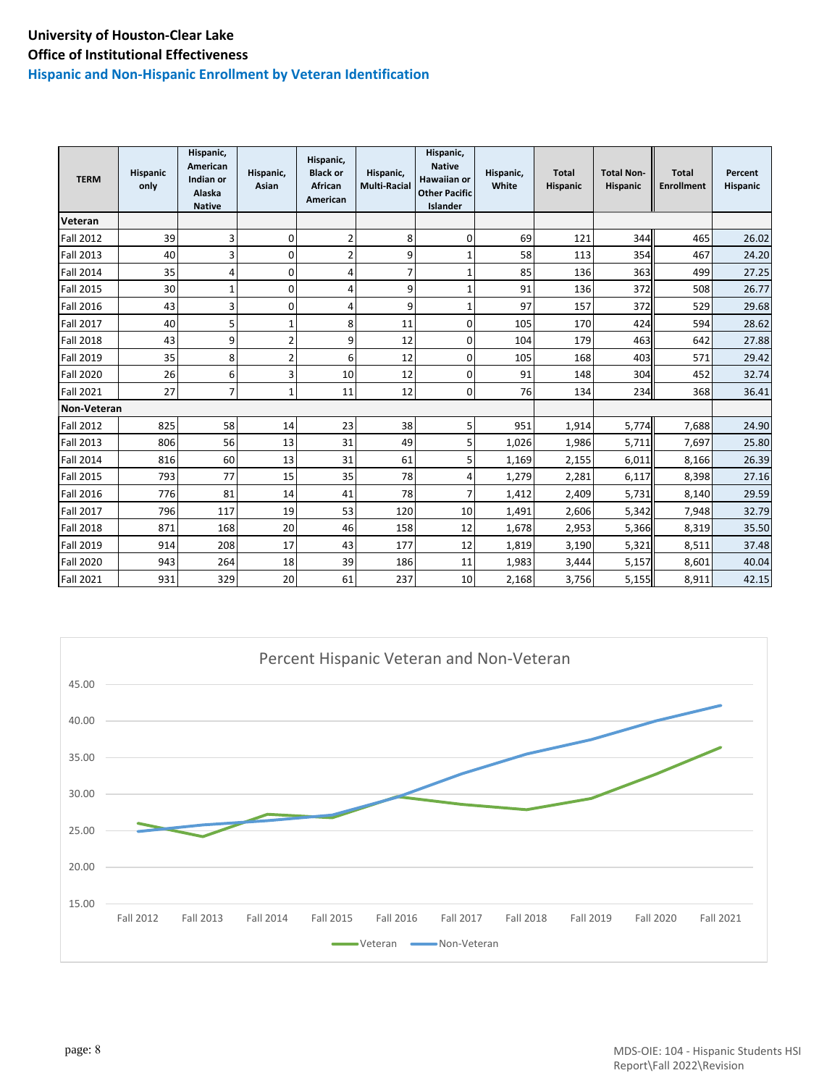#### **Hispanic and Non-Hispanic Enrollment by Veteran Identification**

| <b>TERM</b>      | <b>Hispanic</b><br>only | Hispanic,<br>American<br>Indian or<br>Alaska<br><b>Native</b> | Hispanic,<br>Asian | Hispanic,<br><b>Black or</b><br>African<br>American | Hispanic,<br><b>Multi-Racial</b> | Hispanic,<br><b>Native</b><br><b>Hawaiian or</b><br><b>Other Pacific</b><br>Islander | Hispanic,<br>White | <b>Total</b><br>Hispanic | <b>Total Non-</b><br>Hispanic | <b>Total</b><br><b>Enrollment</b> | Percent<br>Hispanic |
|------------------|-------------------------|---------------------------------------------------------------|--------------------|-----------------------------------------------------|----------------------------------|--------------------------------------------------------------------------------------|--------------------|--------------------------|-------------------------------|-----------------------------------|---------------------|
| Veteran          |                         |                                                               |                    |                                                     |                                  |                                                                                      |                    |                          |                               |                                   |                     |
| <b>Fall 2012</b> | 39                      | 3                                                             | 0                  | $\overline{2}$                                      | 8                                | 0                                                                                    | 69                 | 121                      | 344                           | 465                               | 26.02               |
| <b>Fall 2013</b> | 40                      | 3                                                             | 0                  | $\overline{2}$                                      | 9                                | 1                                                                                    | 58                 | 113                      | 354                           | 467                               | 24.20               |
| <b>Fall 2014</b> | 35                      | 4                                                             | 0                  | 4                                                   | 7                                | $\mathbf{1}$                                                                         | 85                 | 136                      | 363                           | 499                               | 27.25               |
| <b>Fall 2015</b> | 30                      | $\mathbf{1}$                                                  | 0                  | 4                                                   | 9                                | 1                                                                                    | 91                 | 136                      | 372                           | 508                               | 26.77               |
| <b>Fall 2016</b> | 43                      | 3                                                             | 0                  | 4                                                   | 9                                | $\mathbf{1}$                                                                         | 97                 | 157                      | 372                           | 529                               | 29.68               |
| <b>Fall 2017</b> | 40                      | 5                                                             | $\mathbf{1}$       | 8                                                   | 11                               | 0                                                                                    | 105                | 170                      | 424                           | 594                               | 28.62               |
| <b>Fall 2018</b> | 43                      | 9                                                             | $\overline{2}$     | 9                                                   | 12                               | 0                                                                                    | 104                | 179                      | 463                           | 642                               | 27.88               |
| <b>Fall 2019</b> | 35                      | 8                                                             | $\overline{2}$     | 6                                                   | 12                               | 0                                                                                    | 105                | 168                      | 403                           | 571                               | 29.42               |
| <b>Fall 2020</b> | 26                      | 6                                                             | 3                  | 10                                                  | 12                               | 0                                                                                    | 91                 | 148                      | 304                           | 452                               | 32.74               |
| <b>Fall 2021</b> | 27                      | $\overline{7}$                                                | $\mathbf{1}$       | 11                                                  | 12                               | 0                                                                                    | 76                 | 134                      | 234                           | 368                               | 36.41               |
| Non-Veteran      |                         |                                                               |                    |                                                     |                                  |                                                                                      |                    |                          |                               |                                   |                     |
| <b>Fall 2012</b> | 825                     | 58                                                            | 14                 | 23                                                  | 38                               | 5                                                                                    | 951                | 1,914                    | 5,774                         | 7,688                             | 24.90               |
| <b>Fall 2013</b> | 806                     | 56                                                            | 13                 | 31                                                  | 49                               | 5                                                                                    | 1,026              | 1,986                    | 5,711                         | 7,697                             | 25.80               |
| <b>Fall 2014</b> | 816                     | 60                                                            | 13                 | 31                                                  | 61                               | 5                                                                                    | 1,169              | 2,155                    | 6,011                         | 8,166                             | 26.39               |
| <b>Fall 2015</b> | 793                     | 77                                                            | 15                 | 35                                                  | 78                               | 4                                                                                    | 1,279              | 2,281                    | 6,117                         | 8,398                             | 27.16               |
| <b>Fall 2016</b> | 776                     | 81                                                            | 14                 | 41                                                  | 78                               | 7                                                                                    | 1,412              | 2,409                    | 5,731                         | 8,140                             | 29.59               |
| <b>Fall 2017</b> | 796                     | 117                                                           | 19                 | 53                                                  | 120                              | 10                                                                                   | 1,491              | 2,606                    | 5,342                         | 7,948                             | 32.79               |
| <b>Fall 2018</b> | 871                     | 168                                                           | 20                 | 46                                                  | 158                              | 12                                                                                   | 1,678              | 2,953                    | 5,366                         | 8,319                             | 35.50               |
| <b>Fall 2019</b> | 914                     | 208                                                           | 17                 | 43                                                  | 177                              | 12                                                                                   | 1,819              | 3,190                    | 5,321                         | 8,511                             | 37.48               |
| <b>Fall 2020</b> | 943                     | 264                                                           | 18                 | 39                                                  | 186                              | 11                                                                                   | 1,983              | 3,444                    | 5,157                         | 8,601                             | 40.04               |
| <b>Fall 2021</b> | 931                     | 329                                                           | 20                 | 61                                                  | 237                              | 10                                                                                   | 2,168              | 3,756                    | 5,155                         | 8,911                             | 42.15               |

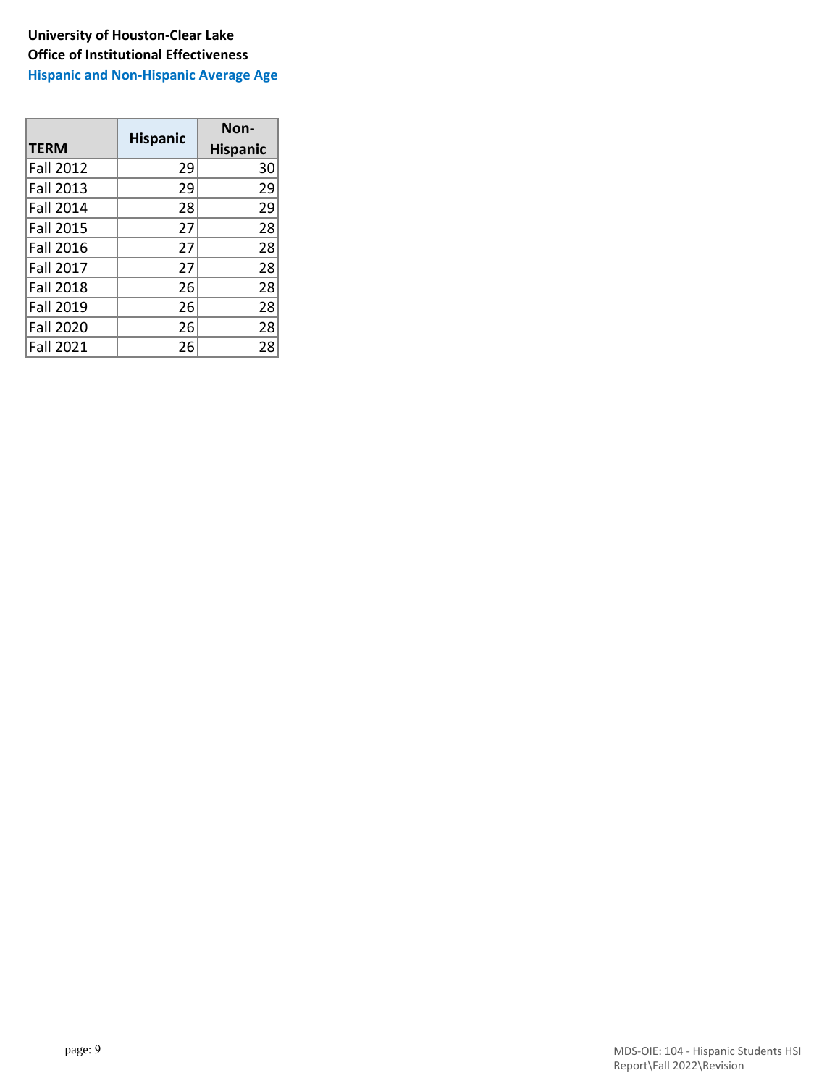**Hispanic and Non-Hispanic Average Age**

|                  | <b>Hispanic</b> | Non-            |  |  |
|------------------|-----------------|-----------------|--|--|
| <b>TERM</b>      |                 | <b>Hispanic</b> |  |  |
| <b>Fall 2012</b> | 29              | 30              |  |  |
| <b>Fall 2013</b> | 29              | 29              |  |  |
| <b>Fall 2014</b> | 28              | 29              |  |  |
| <b>Fall 2015</b> | 27              | 28              |  |  |
| <b>Fall 2016</b> | 27              | 28              |  |  |
| <b>Fall 2017</b> | 27              | 28              |  |  |
| <b>Fall 2018</b> | 26              | 28              |  |  |
| <b>Fall 2019</b> | 26              | 28              |  |  |
| <b>Fall 2020</b> | 26              | 28              |  |  |
| <b>Fall 2021</b> | 26              | 28              |  |  |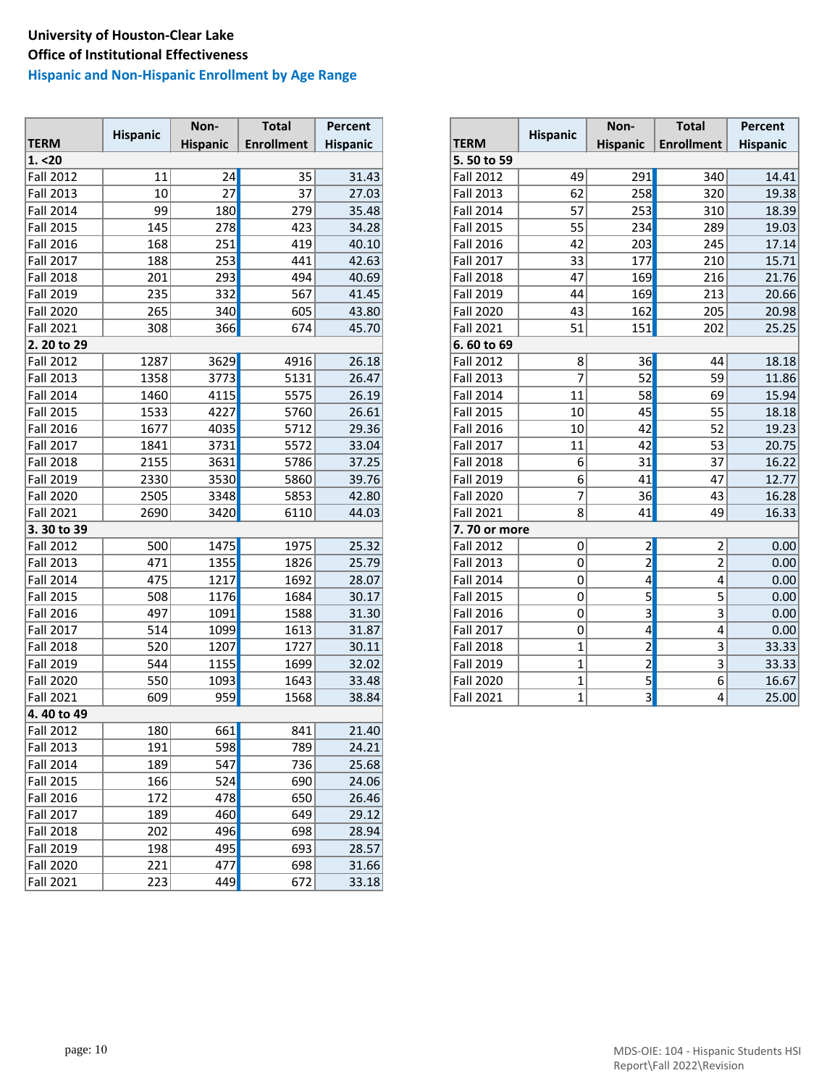### **Hispanic and Non-Hispanic Enrollment by Age Range**

| <b>TERM</b><br><b>Enrollment</b><br><b>TERM</b><br><b>Enrollment</b><br><b>Hispanic</b><br><b>Hispanic</b><br><b>Hispanic</b><br>1. < 20<br>5.50 to 59<br><b>Fall 2012</b><br>11<br>24<br>35<br>31.43<br><b>Fall 2012</b><br>49<br>291<br>340<br>27<br><b>Fall 2013</b><br>10<br>37<br>27.03<br><b>Fall 2013</b><br>62<br>258<br>320<br>99<br>180<br>57<br>253<br><b>Fall 2014</b><br>279<br>35.48<br><b>Fall 2014</b><br>310<br><b>Fall 2015</b><br>145<br>278<br>423<br>55<br>234<br>34.28<br><b>Fall 2015</b><br>289<br>203<br><b>Fall 2016</b><br>168<br>251<br>419<br><b>Fall 2016</b><br>42<br>245<br>40.10<br>253<br>177<br><b>Fall 2017</b><br>188<br><b>Fall 2017</b><br>33<br>441<br>42.63<br>210<br>293<br><b>Fall 2018</b><br>201<br>494<br>40.69<br><b>Fall 2018</b><br>47<br>169<br>216<br><b>Fall 2019</b><br>235<br>332<br>567<br><b>Fall 2019</b><br>169<br>213<br>41.45<br>44<br><b>Fall 2020</b><br>265<br>340<br>43.80<br><b>Fall 2020</b><br>43<br>162<br>205<br>605<br><b>Fall 2021</b><br>308<br>366<br>51<br>151<br>674<br>45.70<br><b>Fall 2021</b><br>202<br>2. 20 to 29<br>6.60 to 69<br>3629<br>4916<br><b>Fall 2012</b><br>1287<br>26.18<br><b>Fall 2012</b><br>8<br>36<br>44<br>52<br>3773<br>$\overline{7}$<br>59<br><b>Fall 2013</b><br>1358<br>5131<br>26.47<br><b>Fall 2013</b><br>58<br><b>Fall 2014</b><br>1460<br>4115<br>5575<br><b>Fall 2014</b><br>69<br>26.19<br>11<br>4227<br>45<br>55<br><b>Fall 2015</b><br>1533<br>5760<br>26.61<br><b>Fall 2015</b><br>10<br>52<br>42<br><b>Fall 2016</b><br>1677<br>4035<br>5712<br>10<br>29.36<br><b>Fall 2016</b><br>5572<br>42<br>53<br><b>Fall 2017</b><br>3731<br>11<br>1841<br>33.04<br><b>Fall 2017</b> |                  |                 | Non- | <b>Total</b> | Percent |                  |                 | Non- | <b>Total</b> | Percent         |
|-----------------------------------------------------------------------------------------------------------------------------------------------------------------------------------------------------------------------------------------------------------------------------------------------------------------------------------------------------------------------------------------------------------------------------------------------------------------------------------------------------------------------------------------------------------------------------------------------------------------------------------------------------------------------------------------------------------------------------------------------------------------------------------------------------------------------------------------------------------------------------------------------------------------------------------------------------------------------------------------------------------------------------------------------------------------------------------------------------------------------------------------------------------------------------------------------------------------------------------------------------------------------------------------------------------------------------------------------------------------------------------------------------------------------------------------------------------------------------------------------------------------------------------------------------------------------------------------------------------------------------------------------------------------------------------------------|------------------|-----------------|------|--------------|---------|------------------|-----------------|------|--------------|-----------------|
|                                                                                                                                                                                                                                                                                                                                                                                                                                                                                                                                                                                                                                                                                                                                                                                                                                                                                                                                                                                                                                                                                                                                                                                                                                                                                                                                                                                                                                                                                                                                                                                                                                                                                               |                  | <b>Hispanic</b> |      |              |         |                  | <b>Hispanic</b> |      |              | <b>Hispanic</b> |
|                                                                                                                                                                                                                                                                                                                                                                                                                                                                                                                                                                                                                                                                                                                                                                                                                                                                                                                                                                                                                                                                                                                                                                                                                                                                                                                                                                                                                                                                                                                                                                                                                                                                                               |                  |                 |      |              |         |                  |                 |      |              |                 |
|                                                                                                                                                                                                                                                                                                                                                                                                                                                                                                                                                                                                                                                                                                                                                                                                                                                                                                                                                                                                                                                                                                                                                                                                                                                                                                                                                                                                                                                                                                                                                                                                                                                                                               |                  |                 |      |              |         |                  |                 |      |              | 14.41           |
|                                                                                                                                                                                                                                                                                                                                                                                                                                                                                                                                                                                                                                                                                                                                                                                                                                                                                                                                                                                                                                                                                                                                                                                                                                                                                                                                                                                                                                                                                                                                                                                                                                                                                               |                  |                 |      |              |         |                  |                 |      |              | 19.38           |
|                                                                                                                                                                                                                                                                                                                                                                                                                                                                                                                                                                                                                                                                                                                                                                                                                                                                                                                                                                                                                                                                                                                                                                                                                                                                                                                                                                                                                                                                                                                                                                                                                                                                                               |                  |                 |      |              |         |                  |                 |      |              | 18.39           |
|                                                                                                                                                                                                                                                                                                                                                                                                                                                                                                                                                                                                                                                                                                                                                                                                                                                                                                                                                                                                                                                                                                                                                                                                                                                                                                                                                                                                                                                                                                                                                                                                                                                                                               |                  |                 |      |              |         |                  |                 |      |              | 19.03           |
|                                                                                                                                                                                                                                                                                                                                                                                                                                                                                                                                                                                                                                                                                                                                                                                                                                                                                                                                                                                                                                                                                                                                                                                                                                                                                                                                                                                                                                                                                                                                                                                                                                                                                               |                  |                 |      |              |         |                  |                 |      |              | 17.14           |
|                                                                                                                                                                                                                                                                                                                                                                                                                                                                                                                                                                                                                                                                                                                                                                                                                                                                                                                                                                                                                                                                                                                                                                                                                                                                                                                                                                                                                                                                                                                                                                                                                                                                                               |                  |                 |      |              |         |                  |                 |      |              | 15.71           |
|                                                                                                                                                                                                                                                                                                                                                                                                                                                                                                                                                                                                                                                                                                                                                                                                                                                                                                                                                                                                                                                                                                                                                                                                                                                                                                                                                                                                                                                                                                                                                                                                                                                                                               |                  |                 |      |              |         |                  |                 |      |              | 21.76           |
|                                                                                                                                                                                                                                                                                                                                                                                                                                                                                                                                                                                                                                                                                                                                                                                                                                                                                                                                                                                                                                                                                                                                                                                                                                                                                                                                                                                                                                                                                                                                                                                                                                                                                               |                  |                 |      |              |         |                  |                 |      |              | 20.66           |
|                                                                                                                                                                                                                                                                                                                                                                                                                                                                                                                                                                                                                                                                                                                                                                                                                                                                                                                                                                                                                                                                                                                                                                                                                                                                                                                                                                                                                                                                                                                                                                                                                                                                                               |                  |                 |      |              |         |                  |                 |      |              | 20.98           |
|                                                                                                                                                                                                                                                                                                                                                                                                                                                                                                                                                                                                                                                                                                                                                                                                                                                                                                                                                                                                                                                                                                                                                                                                                                                                                                                                                                                                                                                                                                                                                                                                                                                                                               |                  |                 |      |              |         |                  |                 |      |              | 25.25           |
|                                                                                                                                                                                                                                                                                                                                                                                                                                                                                                                                                                                                                                                                                                                                                                                                                                                                                                                                                                                                                                                                                                                                                                                                                                                                                                                                                                                                                                                                                                                                                                                                                                                                                               |                  |                 |      |              |         |                  |                 |      |              |                 |
|                                                                                                                                                                                                                                                                                                                                                                                                                                                                                                                                                                                                                                                                                                                                                                                                                                                                                                                                                                                                                                                                                                                                                                                                                                                                                                                                                                                                                                                                                                                                                                                                                                                                                               |                  |                 |      |              |         |                  |                 |      |              | 18.18           |
|                                                                                                                                                                                                                                                                                                                                                                                                                                                                                                                                                                                                                                                                                                                                                                                                                                                                                                                                                                                                                                                                                                                                                                                                                                                                                                                                                                                                                                                                                                                                                                                                                                                                                               |                  |                 |      |              |         |                  |                 |      |              | 11.86           |
|                                                                                                                                                                                                                                                                                                                                                                                                                                                                                                                                                                                                                                                                                                                                                                                                                                                                                                                                                                                                                                                                                                                                                                                                                                                                                                                                                                                                                                                                                                                                                                                                                                                                                               |                  |                 |      |              |         |                  |                 |      |              | 15.94           |
|                                                                                                                                                                                                                                                                                                                                                                                                                                                                                                                                                                                                                                                                                                                                                                                                                                                                                                                                                                                                                                                                                                                                                                                                                                                                                                                                                                                                                                                                                                                                                                                                                                                                                               |                  |                 |      |              |         |                  |                 |      |              | 18.18           |
|                                                                                                                                                                                                                                                                                                                                                                                                                                                                                                                                                                                                                                                                                                                                                                                                                                                                                                                                                                                                                                                                                                                                                                                                                                                                                                                                                                                                                                                                                                                                                                                                                                                                                               |                  |                 |      |              |         |                  |                 |      |              | 19.23           |
|                                                                                                                                                                                                                                                                                                                                                                                                                                                                                                                                                                                                                                                                                                                                                                                                                                                                                                                                                                                                                                                                                                                                                                                                                                                                                                                                                                                                                                                                                                                                                                                                                                                                                               |                  |                 |      |              |         |                  |                 |      |              | 20.75           |
|                                                                                                                                                                                                                                                                                                                                                                                                                                                                                                                                                                                                                                                                                                                                                                                                                                                                                                                                                                                                                                                                                                                                                                                                                                                                                                                                                                                                                                                                                                                                                                                                                                                                                               | <b>Fall 2018</b> | 2155            | 3631 | 5786         | 37.25   | <b>Fall 2018</b> | 6               | 31   | 37           | 16.22           |
| 2330<br>5860<br>6<br>47<br><b>Fall 2019</b><br>3530<br>39.76<br><b>Fall 2019</b><br>41                                                                                                                                                                                                                                                                                                                                                                                                                                                                                                                                                                                                                                                                                                                                                                                                                                                                                                                                                                                                                                                                                                                                                                                                                                                                                                                                                                                                                                                                                                                                                                                                        |                  |                 |      |              |         |                  |                 |      |              | 12.77           |
| 7<br>36<br><b>Fall 2020</b><br>2505<br>3348<br>5853<br>42.80<br><b>Fall 2020</b><br>43                                                                                                                                                                                                                                                                                                                                                                                                                                                                                                                                                                                                                                                                                                                                                                                                                                                                                                                                                                                                                                                                                                                                                                                                                                                                                                                                                                                                                                                                                                                                                                                                        |                  |                 |      |              |         |                  |                 |      |              | 16.28           |
| 2690<br>3420<br>8<br>41<br>49<br><b>Fall 2021</b><br>6110<br><b>Fall 2021</b><br>44.03                                                                                                                                                                                                                                                                                                                                                                                                                                                                                                                                                                                                                                                                                                                                                                                                                                                                                                                                                                                                                                                                                                                                                                                                                                                                                                                                                                                                                                                                                                                                                                                                        |                  |                 |      |              |         |                  |                 |      |              | 16.33           |
| 3.30 to 39<br>7.70 or more                                                                                                                                                                                                                                                                                                                                                                                                                                                                                                                                                                                                                                                                                                                                                                                                                                                                                                                                                                                                                                                                                                                                                                                                                                                                                                                                                                                                                                                                                                                                                                                                                                                                    |                  |                 |      |              |         |                  |                 |      |              |                 |
| 500<br>1475<br>1975<br><b>Fall 2012</b><br>25.32<br><b>Fall 2012</b><br> 0 <br>$\overline{2}$<br>$\overline{2}$                                                                                                                                                                                                                                                                                                                                                                                                                                                                                                                                                                                                                                                                                                                                                                                                                                                                                                                                                                                                                                                                                                                                                                                                                                                                                                                                                                                                                                                                                                                                                                               |                  |                 |      |              |         |                  |                 |      |              | 0.00            |
| $\overline{2}$<br>$\overline{2}$<br>1355<br>1826<br>$\pmb{0}$<br>Fall 2013<br>471<br>25.79<br><b>Fall 2013</b>                                                                                                                                                                                                                                                                                                                                                                                                                                                                                                                                                                                                                                                                                                                                                                                                                                                                                                                                                                                                                                                                                                                                                                                                                                                                                                                                                                                                                                                                                                                                                                                |                  |                 |      |              |         |                  |                 |      |              | 0.00            |
| $\overline{4}$<br>475<br>4<br><b>Fall 2014</b><br>1217<br>1692<br>0<br>28.07<br><b>Fall 2014</b>                                                                                                                                                                                                                                                                                                                                                                                                                                                                                                                                                                                                                                                                                                                                                                                                                                                                                                                                                                                                                                                                                                                                                                                                                                                                                                                                                                                                                                                                                                                                                                                              |                  |                 |      |              |         |                  |                 |      |              | 0.00            |
| $\overline{5}$<br>5<br>508<br><b>Fall 2015</b><br>1176<br>1684<br><b>Fall 2015</b><br>0<br>30.17                                                                                                                                                                                                                                                                                                                                                                                                                                                                                                                                                                                                                                                                                                                                                                                                                                                                                                                                                                                                                                                                                                                                                                                                                                                                                                                                                                                                                                                                                                                                                                                              |                  |                 |      |              |         |                  |                 |      |              | 0.00            |
| $\overline{3}$<br>3<br><b>Fall 2016</b><br>497<br>1091<br>1588<br>31.30<br><b>Fall 2016</b><br>$\mathbf 0$                                                                                                                                                                                                                                                                                                                                                                                                                                                                                                                                                                                                                                                                                                                                                                                                                                                                                                                                                                                                                                                                                                                                                                                                                                                                                                                                                                                                                                                                                                                                                                                    |                  |                 |      |              |         |                  |                 |      |              | 0.00            |
| $\overline{4}$<br>4<br><b>Fall 2017</b><br>514<br>1099<br>1613<br>31.87<br>$\mathbf 0$<br><b>Fall 2017</b>                                                                                                                                                                                                                                                                                                                                                                                                                                                                                                                                                                                                                                                                                                                                                                                                                                                                                                                                                                                                                                                                                                                                                                                                                                                                                                                                                                                                                                                                                                                                                                                    |                  |                 |      |              |         |                  |                 |      |              | 0.00            |
| $\overline{2}$<br>3<br><b>Fall 2018</b><br>520<br>1207<br>1727<br>$\mathbf{1}$<br>30.11<br><b>Fall 2018</b>                                                                                                                                                                                                                                                                                                                                                                                                                                                                                                                                                                                                                                                                                                                                                                                                                                                                                                                                                                                                                                                                                                                                                                                                                                                                                                                                                                                                                                                                                                                                                                                   |                  |                 |      |              |         |                  |                 |      |              | 33.33           |
| $\overline{2}$<br>3<br><b>Fall 2019</b><br>544<br>1155<br>1699<br>32.02<br><b>Fall 2019</b><br>1                                                                                                                                                                                                                                                                                                                                                                                                                                                                                                                                                                                                                                                                                                                                                                                                                                                                                                                                                                                                                                                                                                                                                                                                                                                                                                                                                                                                                                                                                                                                                                                              |                  |                 |      |              |         |                  |                 |      |              | 33.33           |
| $\overline{5}$<br>$6 \overline{6}$<br><b>Fall 2020</b><br>550<br>1093<br>1643<br>33.48<br><b>Fall 2020</b><br>$\mathbf 1$                                                                                                                                                                                                                                                                                                                                                                                                                                                                                                                                                                                                                                                                                                                                                                                                                                                                                                                                                                                                                                                                                                                                                                                                                                                                                                                                                                                                                                                                                                                                                                     |                  |                 |      |              |         |                  |                 |      |              | 16.67           |
| $\overline{3}$<br>4<br><b>Fall 2021</b><br>609<br>959<br>1568<br><b>Fall 2021</b><br>$\mathbf 1$<br>38.84                                                                                                                                                                                                                                                                                                                                                                                                                                                                                                                                                                                                                                                                                                                                                                                                                                                                                                                                                                                                                                                                                                                                                                                                                                                                                                                                                                                                                                                                                                                                                                                     |                  |                 |      |              |         |                  |                 |      |              | 25.00           |
| 4.40 to 49                                                                                                                                                                                                                                                                                                                                                                                                                                                                                                                                                                                                                                                                                                                                                                                                                                                                                                                                                                                                                                                                                                                                                                                                                                                                                                                                                                                                                                                                                                                                                                                                                                                                                    |                  |                 |      |              |         |                  |                 |      |              |                 |
| 661<br>180<br><b>Fall 2012</b><br>841<br>21.40                                                                                                                                                                                                                                                                                                                                                                                                                                                                                                                                                                                                                                                                                                                                                                                                                                                                                                                                                                                                                                                                                                                                                                                                                                                                                                                                                                                                                                                                                                                                                                                                                                                |                  |                 |      |              |         |                  |                 |      |              |                 |
| 598<br><b>Fall 2013</b><br>191<br>789<br>24.21                                                                                                                                                                                                                                                                                                                                                                                                                                                                                                                                                                                                                                                                                                                                                                                                                                                                                                                                                                                                                                                                                                                                                                                                                                                                                                                                                                                                                                                                                                                                                                                                                                                |                  |                 |      |              |         |                  |                 |      |              |                 |
| 547<br>Fall 2014<br>189<br>736<br>25.68                                                                                                                                                                                                                                                                                                                                                                                                                                                                                                                                                                                                                                                                                                                                                                                                                                                                                                                                                                                                                                                                                                                                                                                                                                                                                                                                                                                                                                                                                                                                                                                                                                                       |                  |                 |      |              |         |                  |                 |      |              |                 |
| 524<br><b>Fall 2015</b><br>166<br>690<br>24.06                                                                                                                                                                                                                                                                                                                                                                                                                                                                                                                                                                                                                                                                                                                                                                                                                                                                                                                                                                                                                                                                                                                                                                                                                                                                                                                                                                                                                                                                                                                                                                                                                                                |                  |                 |      |              |         |                  |                 |      |              |                 |
| 478<br><b>Fall 2016</b><br>172<br>650<br>26.46                                                                                                                                                                                                                                                                                                                                                                                                                                                                                                                                                                                                                                                                                                                                                                                                                                                                                                                                                                                                                                                                                                                                                                                                                                                                                                                                                                                                                                                                                                                                                                                                                                                |                  |                 |      |              |         |                  |                 |      |              |                 |
| <b>Fall 2017</b><br>189<br>460<br>649<br>29.12                                                                                                                                                                                                                                                                                                                                                                                                                                                                                                                                                                                                                                                                                                                                                                                                                                                                                                                                                                                                                                                                                                                                                                                                                                                                                                                                                                                                                                                                                                                                                                                                                                                |                  |                 |      |              |         |                  |                 |      |              |                 |
| 202<br><b>Fall 2018</b><br>496<br>698<br>28.94                                                                                                                                                                                                                                                                                                                                                                                                                                                                                                                                                                                                                                                                                                                                                                                                                                                                                                                                                                                                                                                                                                                                                                                                                                                                                                                                                                                                                                                                                                                                                                                                                                                |                  |                 |      |              |         |                  |                 |      |              |                 |
| 495<br><b>Fall 2019</b><br>198<br>693<br>28.57                                                                                                                                                                                                                                                                                                                                                                                                                                                                                                                                                                                                                                                                                                                                                                                                                                                                                                                                                                                                                                                                                                                                                                                                                                                                                                                                                                                                                                                                                                                                                                                                                                                |                  |                 |      |              |         |                  |                 |      |              |                 |
| 221<br>477<br><b>Fall 2020</b><br>698<br>31.66                                                                                                                                                                                                                                                                                                                                                                                                                                                                                                                                                                                                                                                                                                                                                                                                                                                                                                                                                                                                                                                                                                                                                                                                                                                                                                                                                                                                                                                                                                                                                                                                                                                |                  |                 |      |              |         |                  |                 |      |              |                 |
| 449<br><b>Fall 2021</b><br>223<br>672<br>33.18                                                                                                                                                                                                                                                                                                                                                                                                                                                                                                                                                                                                                                                                                                                                                                                                                                                                                                                                                                                                                                                                                                                                                                                                                                                                                                                                                                                                                                                                                                                                                                                                                                                |                  |                 |      |              |         |                  |                 |      |              |                 |

| <b>Percent</b>  |                  | <b>Hispanic</b> | Non-                      | <b>Total</b>              | Percent         |
|-----------------|------------------|-----------------|---------------------------|---------------------------|-----------------|
| <b>Hispanic</b> | <b>TERM</b>      |                 | <b>Hispanic</b>           | <b>Enrollment</b>         | <b>Hispanic</b> |
|                 | 5.50 to 59       |                 |                           |                           |                 |
| 31.43           | <b>Fall 2012</b> | 49              | 291                       | 340                       | 14.41           |
|                 | <b>Fall 2013</b> | 62              | 258                       | 320                       | 19.38           |
|                 | <b>Fall 2014</b> | 57              | 253                       | 310                       | 18.39           |
|                 | <b>Fall 2015</b> | 55              | 234                       | 289                       | 19.03           |
|                 | <b>Fall 2016</b> | 42              | 203                       | 245                       | 17.14           |
|                 | <b>Fall 2017</b> | 33              | 177                       | 210                       | 15.71           |
|                 | <b>Fall 2018</b> | 47              | 169                       | 216                       | 21.76           |
|                 | <b>Fall 2019</b> | 44              | 169                       | 213                       | 20.66           |
|                 | <b>Fall 2020</b> | 43              | 162                       | 205                       | 20.98           |
|                 | <b>Fall 2021</b> | 51              | 151                       | 202                       | 25.25           |
|                 | 6.60 to 69       |                 |                           |                           |                 |
|                 | <b>Fall 2012</b> | 8               | 36                        | 44                        | 18.18           |
|                 | <b>Fall 2013</b> | $\overline{7}$  | 52                        | 59                        | 11.86           |
|                 | <b>Fall 2014</b> | 11              | 58                        | 69                        | 15.94           |
|                 | <b>Fall 2015</b> | 10              | 45                        | 55                        | 18.18           |
|                 | <b>Fall 2016</b> | 10              | 42                        | 52                        | 19.23           |
|                 | Fall 2017        | 11              | 42                        | 53                        | 20.75           |
|                 | <b>Fall 2018</b> | 6               | 31                        | 37                        | 16.22           |
|                 | <b>Fall 2019</b> | 6               | 41                        | 47                        | 12.77           |
|                 | <b>Fall 2020</b> | $\overline{7}$  | 36                        | 43                        | 16.28           |
|                 | <b>Fall 2021</b> | 8               | 41                        | 49                        | 16.33           |
|                 | 7.70 or more     |                 |                           |                           |                 |
|                 | <b>Fall 2012</b> | 0               | $\overline{\mathbf{c}}$   | $\overline{2}$            | 0.00            |
|                 | Fall 2013        | 0               | $\overline{2}$            | $\overline{2}$            | 0.00            |
|                 | <b>Fall 2014</b> | $\mathbf 0$     | 4                         | 4                         | 0.00            |
|                 | <b>Fall 2015</b> | $\mathbf 0$     | 5                         | $\overline{5}$            | 0.00            |
|                 | <b>Fall 2016</b> | $\mathbf 0$     | $\overline{\overline{3}}$ | $\overline{\overline{3}}$ | 0.00            |
|                 | <b>Fall 2017</b> | $\mathbf 0$     | 4                         | 4                         | 0.00            |
|                 | <b>Fall 2018</b> | $\overline{1}$  | $\overline{c}$            | 3                         | 33.33           |
|                 | <b>Fall 2019</b> | $\overline{1}$  | $\overline{2}$            | 3                         | 33.33           |
|                 | <b>Fall 2020</b> | $\overline{1}$  | $\overline{5}$            | $\overline{6}$            | 16.67           |
|                 | <b>Fall 2021</b> | $\overline{1}$  | $\overline{3}$            | 4                         | 25.00           |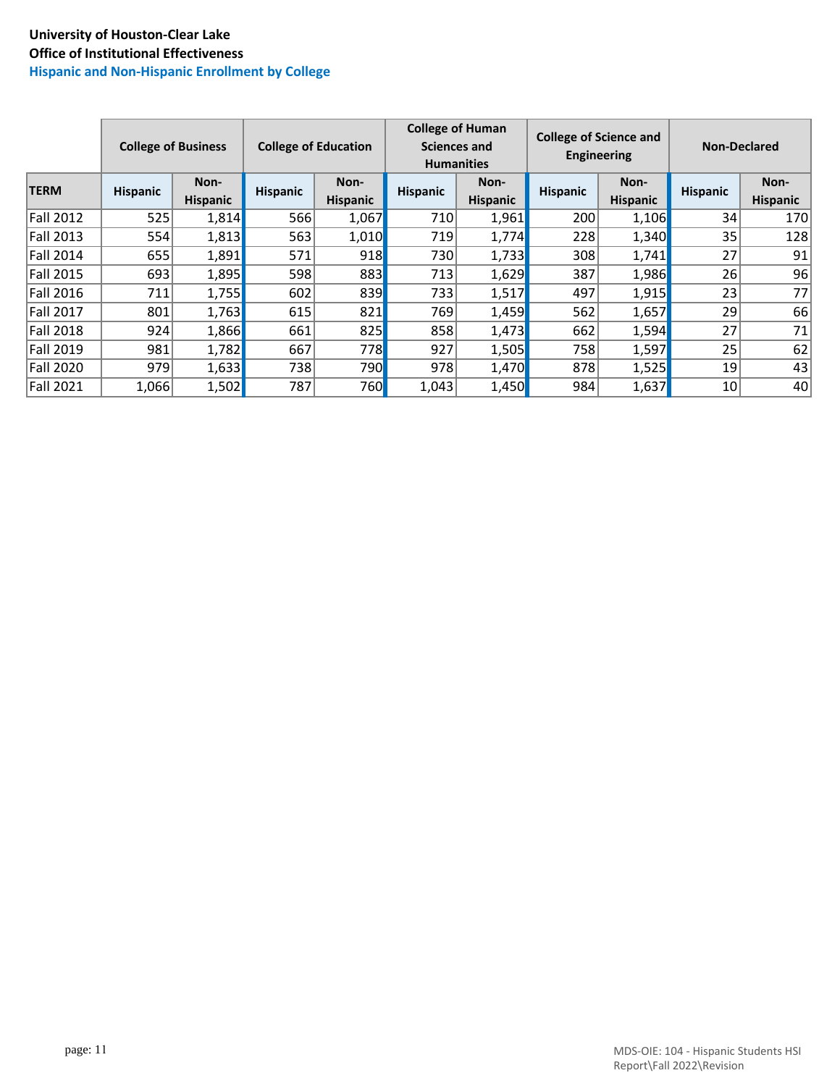## **University of Houston-Clear Lake Office of Institutional Effectiveness Hispanic and Non-Hispanic Enrollment by College**

|                  | <b>College of Business</b> |                         | <b>College of Education</b> |                         | <b>College of Human</b> | <b>Sciences and</b><br><b>Humanities</b> |                 | <b>College of Science and</b><br><b>Engineering</b> | <b>Non-Declared</b> |                         |  |
|------------------|----------------------------|-------------------------|-----------------------------|-------------------------|-------------------------|------------------------------------------|-----------------|-----------------------------------------------------|---------------------|-------------------------|--|
| <b>TERM</b>      | <b>Hispanic</b>            | Non-<br><b>Hispanic</b> | <b>Hispanic</b>             | Non-<br><b>Hispanic</b> | <b>Hispanic</b>         | Non-<br><b>Hispanic</b>                  | <b>Hispanic</b> | Non-<br><b>Hispanic</b>                             | <b>Hispanic</b>     | Non-<br><b>Hispanic</b> |  |
| <b>Fall 2012</b> | 525                        | 1,814                   | 566                         | 1,067                   | 710                     | 1,961                                    | 200             | 1,106                                               | 34                  | 170                     |  |
| <b>Fall 2013</b> | 554                        | 1,813                   | 563                         | 1,010                   | 719                     | 1,774                                    | 228             | 1,340                                               | 35                  | 128                     |  |
| <b>Fall 2014</b> | 655                        | 1,891                   | 571                         | 918                     | 730                     | 1,733                                    | 308             | 1,741                                               | 27                  | 91                      |  |
| <b>Fall 2015</b> | 693                        | 1,895                   | 598                         | 883                     | 713                     | 1,629                                    | 387             | 1,986                                               | 26                  | 96                      |  |
| <b>Fall 2016</b> | 711                        | 1,755                   | 602                         | 839                     | 733                     | 1,517                                    | 497             | 1,915                                               | 23                  | 77                      |  |
| <b>Fall 2017</b> | 801                        | 1,763                   | 615                         | 821                     | 769                     | 1,459                                    | 562             | 1,657                                               | 29                  | 66                      |  |
| <b>Fall 2018</b> | 924                        | 1,866                   | 661                         | 825                     | 858                     | 1,473                                    | 662             | 1,594                                               | 27                  | 71                      |  |
| Fall 2019        | 981                        | 1,782                   | 667                         | 778                     | 927                     | 1,505                                    | 758             | 1,597                                               | 25                  | 62                      |  |
| Fall 2020        | 979                        | 1,633                   | 738                         | 790                     | 978                     | 1,470                                    | 878             | 1,525                                               | 19                  | 43                      |  |
| <b>Fall 2021</b> | 1,066                      | 1,502                   | 787                         | 760                     | 1,043                   | 1,450                                    | 984             | 1,637                                               | 10 <sup>1</sup>     | 40                      |  |